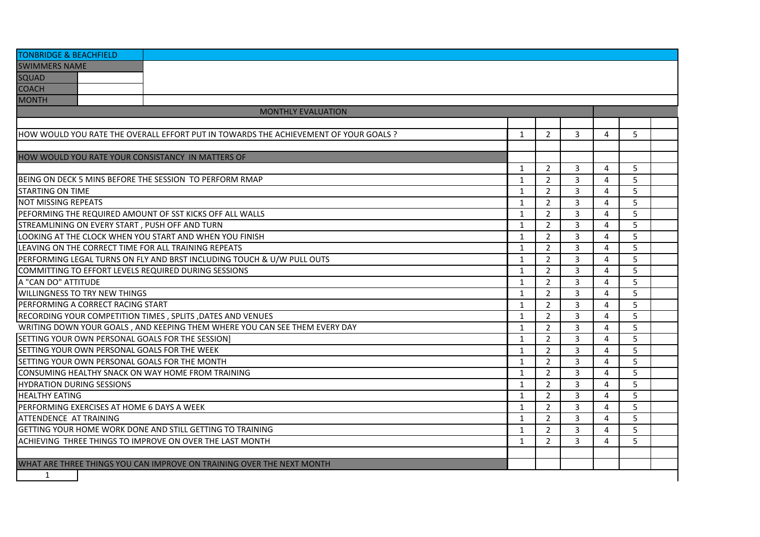| <b>TONBRIDGE &amp; BEACHFIELD</b>                                                    |              |                |                |   |   |  |
|--------------------------------------------------------------------------------------|--------------|----------------|----------------|---|---|--|
| <b>SWIMMERS NAME</b>                                                                 |              |                |                |   |   |  |
| <b>SQUAD</b>                                                                         |              |                |                |   |   |  |
| <b>COACH</b>                                                                         |              |                |                |   |   |  |
| <b>MONTH</b>                                                                         |              |                |                |   |   |  |
| <b>MONTHLY EVALUATION</b>                                                            |              |                |                |   |   |  |
|                                                                                      |              |                |                |   |   |  |
| HOW WOULD YOU RATE THE OVERALL EFFORT PUT IN TOWARDS THE ACHIEVEMENT OF YOUR GOALS ? | $\mathbf{1}$ | $\overline{2}$ | 3              | 4 | 5 |  |
|                                                                                      |              |                |                |   |   |  |
| HOW WOULD YOU RATE YOUR CONSISTANCY IN MATTERS OF                                    |              |                |                |   |   |  |
|                                                                                      | 1            | $\overline{2}$ | 3              | 4 | 5 |  |
| BEING ON DECK 5 MINS BEFORE THE SESSION TO PERFORM RMAP                              | $\mathbf{1}$ | $\overline{2}$ | 3              | 4 | 5 |  |
| <b>STARTING ON TIME</b>                                                              | 1            | $\overline{2}$ | 3              | 4 | 5 |  |
| <b>NOT MISSING REPEATS</b>                                                           | 1            | $\overline{2}$ | 3              | 4 | 5 |  |
| PEFORMING THE REQUIRED AMOUNT OF SST KICKS OFF ALL WALLS                             | 1            | 2              | 3              | 4 | 5 |  |
| STREAMLINING ON EVERY START, PUSH OFF AND TURN                                       | $\mathbf{1}$ | $\overline{2}$ | 3              | 4 | 5 |  |
| LOOKING AT THE CLOCK WHEN YOU START AND WHEN YOU FINISH                              | $\mathbf{1}$ | $\overline{2}$ | 3              | 4 | 5 |  |
| LEAVING ON THE CORRECT TIME FOR ALL TRAINING REPEATS                                 | $\mathbf{1}$ | $\overline{2}$ | 3              | 4 | 5 |  |
| PERFORMING LEGAL TURNS ON FLY AND BRST INCLUDING TOUCH & U/W PULL OUTS               | $\mathbf{1}$ | 2              | 3              | 4 | 5 |  |
| COMMITTING TO EFFORT LEVELS REQUIRED DURING SESSIONS                                 | $\mathbf{1}$ | 2              | 3              | 4 | 5 |  |
| A "CAN DO" ATTITUDE                                                                  | 1            | 2              | 3              | 4 | 5 |  |
| WILLINGNESS TO TRY NEW THINGS                                                        | $\mathbf{1}$ | 2              | 3              | 4 | 5 |  |
| PERFORMING A CORRECT RACING START                                                    | $\mathbf{1}$ | 2              | 3              | 4 | 5 |  |
| RECORDING YOUR COMPETITION TIMES, SPLITS, DATES AND VENUES                           | 1            | 2              | 3              | 4 | 5 |  |
| WRITING DOWN YOUR GOALS, AND KEEPING THEM WHERE YOU CAN SEE THEM EVERY DAY           | $\mathbf{1}$ | 2              | 3              | 4 | 5 |  |
| SETTING YOUR OWN PERSONAL GOALS FOR THE SESSION]                                     | $\mathbf{1}$ | 2              | 3              | 4 | 5 |  |
| SETTING YOUR OWN PERSONAL GOALS FOR THE WEEK                                         | $\mathbf{1}$ | 2              | 3              | 4 | 5 |  |
| SETTING YOUR OWN PERSONAL GOALS FOR THE MONTH                                        | $\mathbf{1}$ | 2              | 3              | 4 | 5 |  |
| CONSUMING HEALTHY SNACK ON WAY HOME FROM TRAINING                                    | $\mathbf{1}$ | 2              | $\overline{3}$ | 4 | 5 |  |
| <b>HYDRATION DURING SESSIONS</b>                                                     | $\mathbf{1}$ | $\overline{2}$ | 3              | 4 | 5 |  |
| <b>HEALTHY EATING</b>                                                                | $\mathbf{1}$ | 2              | 3              | 4 | 5 |  |
| PERFORMING EXERCISES AT HOME 6 DAYS A WEEK                                           | 1            | 2              | 3              | 4 | 5 |  |
| <b>ATTENDENCE AT TRAINING</b>                                                        | $\mathbf{1}$ | 2              | 3              | 4 | 5 |  |
| GETTING YOUR HOME WORK DONE AND STILL GETTING TO TRAINING                            | 1            | $\overline{2}$ | 3              | 4 | 5 |  |
| ACHIEVING THREE THINGS TO IMPROVE ON OVER THE LAST MONTH                             | 1            | $\overline{2}$ | 3              | 4 | 5 |  |
|                                                                                      |              |                |                |   |   |  |
| WHAT ARE THREE THINGS YOU CAN IMPROVE ON TRAINING OVER THE NEXT MONTH                |              |                |                |   |   |  |
| $\mathbf{1}$                                                                         |              |                |                |   |   |  |